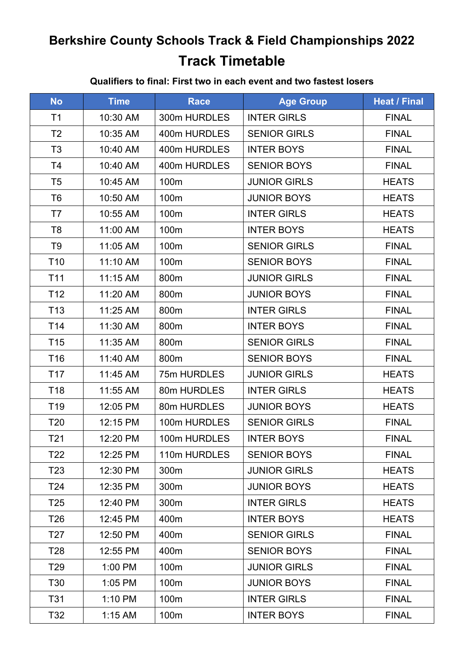# **Berkshire County Schools Track & Field Championships 2022 Track Timetable**

#### **Qualifiers to final: First two in each event and two fastest losers**

| <b>No</b>       | <b>Time</b> | <b>Race</b>      | <b>Age Group</b>    | <b>Heat / Final</b> |
|-----------------|-------------|------------------|---------------------|---------------------|
| T <sub>1</sub>  | 10:30 AM    | 300m HURDLES     | <b>INTER GIRLS</b>  | <b>FINAL</b>        |
| T <sub>2</sub>  | 10:35 AM    | 400m HURDLES     | <b>SENIOR GIRLS</b> | <b>FINAL</b>        |
| T <sub>3</sub>  | 10:40 AM    | 400m HURDLES     | <b>INTER BOYS</b>   | <b>FINAL</b>        |
| T <sub>4</sub>  | 10:40 AM    | 400m HURDLES     | <b>SENIOR BOYS</b>  | <b>FINAL</b>        |
| T <sub>5</sub>  | 10:45 AM    | 100m             | <b>JUNIOR GIRLS</b> | <b>HEATS</b>        |
| T <sub>6</sub>  | 10:50 AM    | 100 <sub>m</sub> | <b>JUNIOR BOYS</b>  | <b>HEATS</b>        |
| T7              | 10:55 AM    | 100m             | <b>INTER GIRLS</b>  | <b>HEATS</b>        |
| T <sub>8</sub>  | 11:00 AM    | 100m             | <b>INTER BOYS</b>   | <b>HEATS</b>        |
| T <sub>9</sub>  | 11:05 AM    | 100m             | <b>SENIOR GIRLS</b> | <b>FINAL</b>        |
| T <sub>10</sub> | 11:10 AM    | 100m             | <b>SENIOR BOYS</b>  | <b>FINAL</b>        |
| T11             | 11:15 AM    | 800m             | <b>JUNIOR GIRLS</b> | <b>FINAL</b>        |
| T <sub>12</sub> | 11:20 AM    | 800m             | <b>JUNIOR BOYS</b>  | <b>FINAL</b>        |
| T <sub>13</sub> | 11:25 AM    | 800m             | <b>INTER GIRLS</b>  | <b>FINAL</b>        |
| T <sub>14</sub> | 11:30 AM    | 800m             | <b>INTER BOYS</b>   | <b>FINAL</b>        |
| T <sub>15</sub> | 11:35 AM    | 800m             | <b>SENIOR GIRLS</b> | <b>FINAL</b>        |
| T <sub>16</sub> | 11:40 AM    | 800m             | <b>SENIOR BOYS</b>  | <b>FINAL</b>        |
| T <sub>17</sub> | 11:45 AM    | 75m HURDLES      | <b>JUNIOR GIRLS</b> | <b>HEATS</b>        |
| T <sub>18</sub> | 11:55 AM    | 80m HURDLES      | <b>INTER GIRLS</b>  | <b>HEATS</b>        |
| T <sub>19</sub> | 12:05 PM    | 80m HURDLES      | <b>JUNIOR BOYS</b>  | <b>HEATS</b>        |
| T <sub>20</sub> | 12:15 PM    | 100m HURDLES     | <b>SENIOR GIRLS</b> | <b>FINAL</b>        |
| T21             | 12:20 PM    | 100m HURDLES     | <b>INTER BOYS</b>   | <b>FINAL</b>        |
| T22             | 12:25 PM    | 110m HURDLES     | <b>SENIOR BOYS</b>  | <b>FINAL</b>        |
| T <sub>23</sub> | 12:30 PM    | 300m             | <b>JUNIOR GIRLS</b> | <b>HEATS</b>        |
| T24             | 12:35 PM    | 300m             | <b>JUNIOR BOYS</b>  | <b>HEATS</b>        |
| T <sub>25</sub> | 12:40 PM    | 300m             | <b>INTER GIRLS</b>  | <b>HEATS</b>        |
| T <sub>26</sub> | 12:45 PM    | 400m             | <b>INTER BOYS</b>   | <b>HEATS</b>        |
| T <sub>27</sub> | 12:50 PM    | 400m             | <b>SENIOR GIRLS</b> | <b>FINAL</b>        |
| T <sub>28</sub> | 12:55 PM    | 400m             | <b>SENIOR BOYS</b>  | <b>FINAL</b>        |
| T29             | 1:00 PM     | 100m             | <b>JUNIOR GIRLS</b> | <b>FINAL</b>        |
| T30             | 1:05 PM     | 100m             | <b>JUNIOR BOYS</b>  | <b>FINAL</b>        |
| T31             | 1:10 PM     | 100m             | <b>INTER GIRLS</b>  | <b>FINAL</b>        |
| T32             | $1:15$ AM   | 100m             | <b>INTER BOYS</b>   | <b>FINAL</b>        |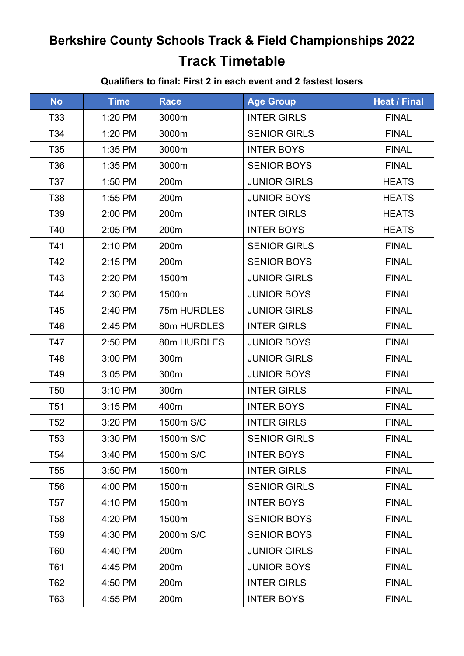# **Berkshire County Schools Track & Field Championships 2022 Track Timetable**

#### **Qualifiers to final: First 2 in each event and 2 fastest losers**

| <b>No</b>       | <b>Time</b> | <b>Race</b>      | <b>Age Group</b>    | <b>Heat / Final</b> |
|-----------------|-------------|------------------|---------------------|---------------------|
| T33             | 1:20 PM     | 3000m            | <b>INTER GIRLS</b>  | <b>FINAL</b>        |
| T34             | 1:20 PM     | 3000m            | <b>SENIOR GIRLS</b> | <b>FINAL</b>        |
| T35             | 1:35 PM     | 3000m            | <b>INTER BOYS</b>   | <b>FINAL</b>        |
| T36             | 1:35 PM     | 3000m            | <b>SENIOR BOYS</b>  | <b>FINAL</b>        |
| T37             | 1:50 PM     | 200m             | <b>JUNIOR GIRLS</b> | <b>HEATS</b>        |
| T38             | 1:55 PM     | 200m             | <b>JUNIOR BOYS</b>  | <b>HEATS</b>        |
| T39             | 2:00 PM     | 200m             | <b>INTER GIRLS</b>  | <b>HEATS</b>        |
| T40             | 2:05 PM     | 200m             | <b>INTER BOYS</b>   | <b>HEATS</b>        |
| T41             | 2:10 PM     | 200m             | <b>SENIOR GIRLS</b> | <b>FINAL</b>        |
| T42             | 2:15 PM     | 200 <sub>m</sub> | <b>SENIOR BOYS</b>  | <b>FINAL</b>        |
| T43             | 2:20 PM     | 1500m            | <b>JUNIOR GIRLS</b> | <b>FINAL</b>        |
| T44             | 2:30 PM     | 1500m            | <b>JUNIOR BOYS</b>  | <b>FINAL</b>        |
| T45             | 2:40 PM     | 75m HURDLES      | <b>JUNIOR GIRLS</b> | <b>FINAL</b>        |
| T46             | 2:45 PM     | 80m HURDLES      | <b>INTER GIRLS</b>  | <b>FINAL</b>        |
| T47             | 2:50 PM     | 80m HURDLES      | <b>JUNIOR BOYS</b>  | <b>FINAL</b>        |
| T48             | 3:00 PM     | 300m             | <b>JUNIOR GIRLS</b> | <b>FINAL</b>        |
| T49             | 3:05 PM     | 300m             | <b>JUNIOR BOYS</b>  | <b>FINAL</b>        |
| T <sub>50</sub> | 3:10 PM     | 300m             | <b>INTER GIRLS</b>  | <b>FINAL</b>        |
| T <sub>51</sub> | 3:15 PM     | 400m             | <b>INTER BOYS</b>   | <b>FINAL</b>        |
| T <sub>52</sub> | 3:20 PM     | 1500m S/C        | <b>INTER GIRLS</b>  | <b>FINAL</b>        |
| T53             | 3:30 PM     | 1500m S/C        | <b>SENIOR GIRLS</b> | <b>FINAL</b>        |
| T54             | 3:40 PM     | 1500m S/C        | <b>INTER BOYS</b>   | <b>FINAL</b>        |
| T55             | 3:50 PM     | 1500m            | <b>INTER GIRLS</b>  | <b>FINAL</b>        |
| T56             | 4:00 PM     | 1500m            | <b>SENIOR GIRLS</b> | <b>FINAL</b>        |
| T57             | 4:10 PM     | 1500m            | <b>INTER BOYS</b>   | <b>FINAL</b>        |
| T58             | 4:20 PM     | 1500m            | <b>SENIOR BOYS</b>  | <b>FINAL</b>        |
| T <sub>59</sub> | 4:30 PM     | 2000m S/C        | <b>SENIOR BOYS</b>  | <b>FINAL</b>        |
| T60             | 4:40 PM     | 200m             | <b>JUNIOR GIRLS</b> | <b>FINAL</b>        |
| T61             | 4:45 PM     | 200m             | <b>JUNIOR BOYS</b>  | <b>FINAL</b>        |
| T62             | 4:50 PM     | 200m             | <b>INTER GIRLS</b>  | <b>FINAL</b>        |
| T63             | 4:55 PM     | 200 <sub>m</sub> | <b>INTER BOYS</b>   | <b>FINAL</b>        |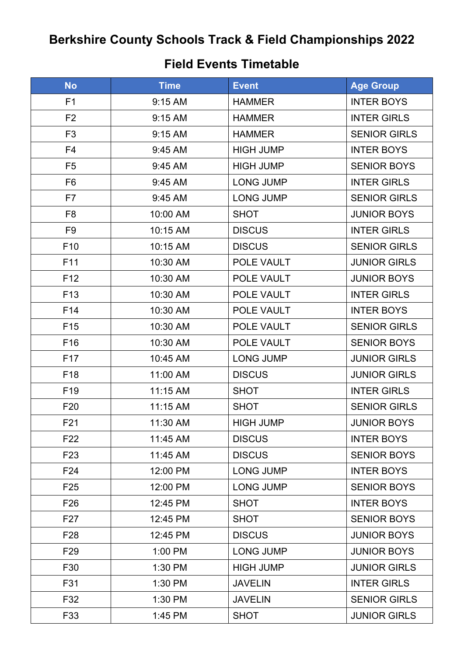# **Berkshire County Schools Track & Field Championships 2022**

### **Field Events Timetable**

| <b>No</b>       | <b>Time</b> | <b>Event</b>     | <b>Age Group</b>    |
|-----------------|-------------|------------------|---------------------|
| F <sub>1</sub>  | 9:15 AM     | <b>HAMMER</b>    | <b>INTER BOYS</b>   |
| F <sub>2</sub>  | 9:15 AM     | <b>HAMMER</b>    | <b>INTER GIRLS</b>  |
| F <sub>3</sub>  | 9:15 AM     | <b>HAMMER</b>    | <b>SENIOR GIRLS</b> |
| F <sub>4</sub>  | 9:45 AM     | <b>HIGH JUMP</b> | <b>INTER BOYS</b>   |
| F <sub>5</sub>  | 9:45 AM     | <b>HIGH JUMP</b> | <b>SENIOR BOYS</b>  |
| F <sub>6</sub>  | 9:45 AM     | <b>LONG JUMP</b> | <b>INTER GIRLS</b>  |
| F7              | 9:45 AM     | <b>LONG JUMP</b> | <b>SENIOR GIRLS</b> |
| F <sub>8</sub>  | 10:00 AM    | <b>SHOT</b>      | <b>JUNIOR BOYS</b>  |
| F <sub>9</sub>  | 10:15 AM    | <b>DISCUS</b>    | <b>INTER GIRLS</b>  |
| F <sub>10</sub> | 10:15 AM    | <b>DISCUS</b>    | <b>SENIOR GIRLS</b> |
| F11             | 10:30 AM    | POLE VAULT       | <b>JUNIOR GIRLS</b> |
| F <sub>12</sub> | 10:30 AM    | POLE VAULT       | <b>JUNIOR BOYS</b>  |
| F <sub>13</sub> | 10:30 AM    | POLE VAULT       | <b>INTER GIRLS</b>  |
| F <sub>14</sub> | 10:30 AM    | POLE VAULT       | <b>INTER BOYS</b>   |
| F <sub>15</sub> | 10:30 AM    | POLE VAULT       | <b>SENIOR GIRLS</b> |
| F <sub>16</sub> | 10:30 AM    | POLE VAULT       | <b>SENIOR BOYS</b>  |
| F <sub>17</sub> | 10:45 AM    | <b>LONG JUMP</b> | <b>JUNIOR GIRLS</b> |
| F <sub>18</sub> | 11:00 AM    | <b>DISCUS</b>    | <b>JUNIOR GIRLS</b> |
| F <sub>19</sub> | 11:15 AM    | <b>SHOT</b>      | <b>INTER GIRLS</b>  |
| F <sub>20</sub> | 11:15 AM    | <b>SHOT</b>      | <b>SENIOR GIRLS</b> |
| F <sub>21</sub> | 11:30 AM    | <b>HIGH JUMP</b> | <b>JUNIOR BOYS</b>  |
| F <sub>22</sub> | 11:45 AM    | <b>DISCUS</b>    | <b>INTER BOYS</b>   |
| F <sub>23</sub> | 11:45 AM    | <b>DISCUS</b>    | <b>SENIOR BOYS</b>  |
| F24             | 12:00 PM    | <b>LONG JUMP</b> | <b>INTER BOYS</b>   |
| F <sub>25</sub> | 12:00 PM    | <b>LONG JUMP</b> | <b>SENIOR BOYS</b>  |
| F <sub>26</sub> | 12:45 PM    | <b>SHOT</b>      | <b>INTER BOYS</b>   |
| F <sub>27</sub> | 12:45 PM    | <b>SHOT</b>      | <b>SENIOR BOYS</b>  |
| F <sub>28</sub> | 12:45 PM    | <b>DISCUS</b>    | <b>JUNIOR BOYS</b>  |
| F <sub>29</sub> | 1:00 PM     | <b>LONG JUMP</b> | <b>JUNIOR BOYS</b>  |
| F30             | 1:30 PM     | <b>HIGH JUMP</b> | <b>JUNIOR GIRLS</b> |
| F31             | 1:30 PM     | <b>JAVELIN</b>   | <b>INTER GIRLS</b>  |
| F32             | 1:30 PM     | <b>JAVELIN</b>   | <b>SENIOR GIRLS</b> |
| F33             | 1:45 PM     | <b>SHOT</b>      | <b>JUNIOR GIRLS</b> |